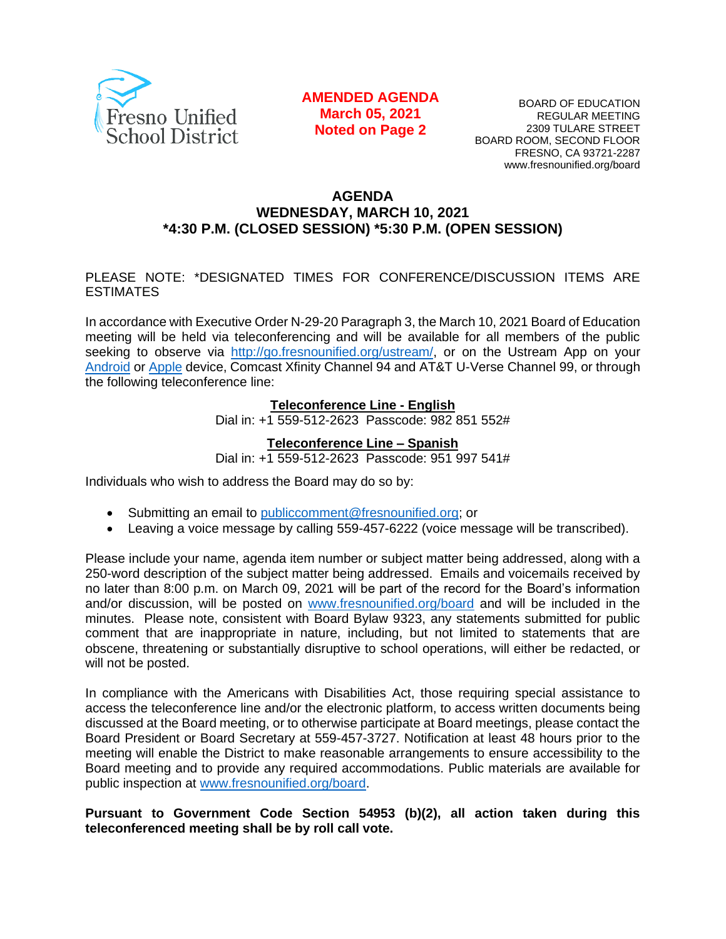

#### **AMENDED AGENDA March 05, 2021 Noted on Page 2**

BOARD OF EDUCATION REGULAR MEETING 2309 TULARE STREET BOARD ROOM, SECOND FLOOR FRESNO, CA 93721-2287 www.fresnounified.org/board

#### **AGENDA WEDNESDAY, MARCH 10, 2021 \*4:30 P.M. (CLOSED SESSION) \*5:30 P.M. (OPEN SESSION)**

#### PLEASE NOTE: \*DESIGNATED TIMES FOR CONFERENCE/DISCUSSION ITEMS ARE ESTIMATES

In accordance with Executive Order N-29-20 Paragraph 3, the March 10, 2021 Board of Education meeting will be held via teleconferencing and will be available for all members of the public seeking to observe via [http://go.fresnounified.org/ustream/,](http://go.fresnounified.org/ustream/) or on the Ustream App on your [Android](https://play.google.com/store/apps/details?id=tv.ustream.ustream&hl=en_US) or [Apple](https://itunes.apple.com/us/app/ustream/id301520250?mt=8) device, Comcast Xfinity Channel 94 and AT&T U-Verse Channel 99, or through the following teleconference line:

#### **Teleconference Line - English**

Dial in: +1 559-512-2623 Passcode: 982 851 552#

#### **Teleconference Line – Spanish**

Dial in: +1 559-512-2623 Passcode: 951 997 541#

Individuals who wish to address the Board may do so by:

- Submitting an email to [publiccomment@fresnounified.org;](mailto:publiccomment@fresnounified.org) or
- Leaving a voice message by calling 559-457-6222 (voice message will be transcribed).

Please include your name, agenda item number or subject matter being addressed, along with a 250-word description of the subject matter being addressed. Emails and voicemails received by no later than 8:00 p.m. on March 09, 2021 will be part of the record for the Board's information and/or discussion, will be posted on [www.fresnounified.org/board](http://www.fresnounified.org/board) and will be included in the minutes. Please note, consistent with Board Bylaw 9323, any statements submitted for public comment that are inappropriate in nature, including, but not limited to statements that are obscene, threatening or substantially disruptive to school operations, will either be redacted, or will not be posted.

In compliance with the Americans with Disabilities Act, those requiring special assistance to access the teleconference line and/or the electronic platform, to access written documents being discussed at the Board meeting, or to otherwise participate at Board meetings, please contact the Board President or Board Secretary at 559-457-3727. Notification at least 48 hours prior to the meeting will enable the District to make reasonable arrangements to ensure accessibility to the Board meeting and to provide any required accommodations. Public materials are available for public inspection at [www.fresnounified.org/board.](http://www.fresnounified.org/board)

#### **Pursuant to Government Code Section 54953 (b)(2), all action taken during this teleconferenced meeting shall be by roll call vote.**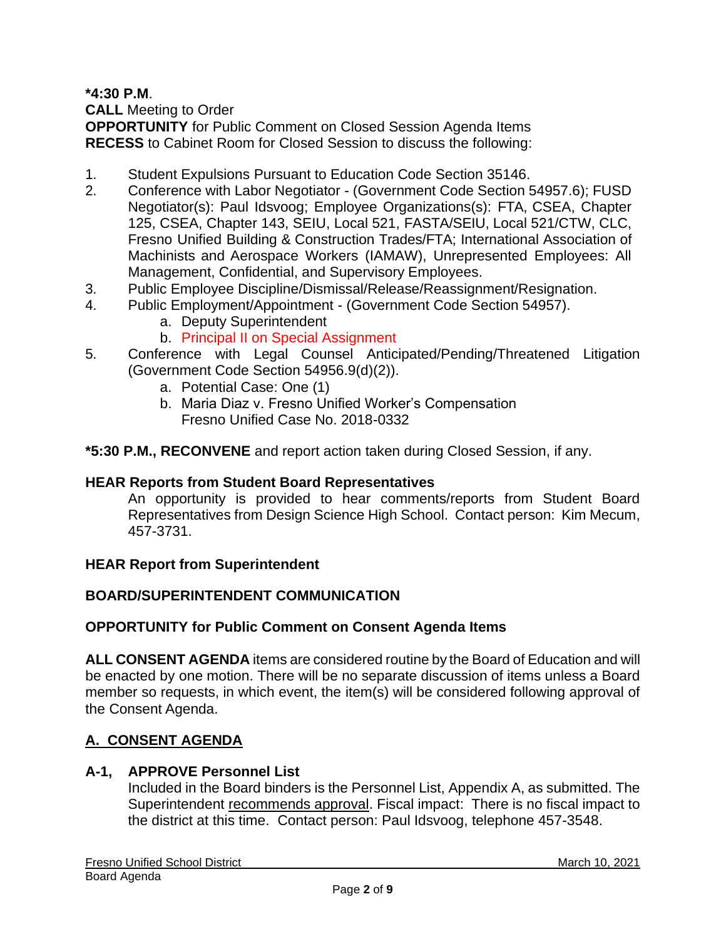**\*4:30 P.M**.

**CALL** Meeting to Order

**OPPORTUNITY** for Public Comment on Closed Session Agenda Items **RECESS** to Cabinet Room for Closed Session to discuss the following:

- 1. Student Expulsions Pursuant to Education Code Section 35146.
- 2. Conference with Labor Negotiator (Government Code Section 54957.6); FUSD Negotiator(s): Paul Idsvoog; Employee Organizations(s): FTA, CSEA, Chapter 125, CSEA, Chapter 143, SEIU, Local 521, FASTA/SEIU, Local 521/CTW, CLC, Fresno Unified Building & Construction Trades/FTA; International Association of Machinists and Aerospace Workers (IAMAW), Unrepresented Employees: All Management, Confidential, and Supervisory Employees.
- 3. Public Employee Discipline/Dismissal/Release/Reassignment/Resignation.
- 4. Public Employment/Appointment (Government Code Section 54957).
	- a. Deputy Superintendent
	- b. Principal II on Special Assignment
- 5. Conference with Legal Counsel Anticipated/Pending/Threatened Litigation (Government Code Section 54956.9(d)(2)).
	- a. Potential Case: One (1)
	- b. Maria Diaz v. Fresno Unified Worker's Compensation Fresno Unified Case No. 2018-0332
- **\*5:30 P.M., RECONVENE** and report action taken during Closed Session, if any.

### **HEAR Reports from Student Board Representatives**

An opportunity is provided to hear comments/reports from Student Board Representatives from Design Science High School. Contact person: Kim Mecum, 457-3731.

### **HEAR Report from Superintendent**

# **BOARD/SUPERINTENDENT COMMUNICATION**

### **OPPORTUNITY for Public Comment on Consent Agenda Items**

**ALL CONSENT AGENDA** items are considered routine by the Board of Education and will be enacted by one motion. There will be no separate discussion of items unless a Board member so requests, in which event, the item(s) will be considered following approval of the Consent Agenda.

# **A. CONSENT AGENDA**

### **A-1, APPROVE Personnel List**

Included in the Board binders is the Personnel List, Appendix A, as submitted. The Superintendent recommends approval. Fiscal impact: There is no fiscal impact to the district at this time. Contact person: Paul Idsvoog, telephone 457-3548.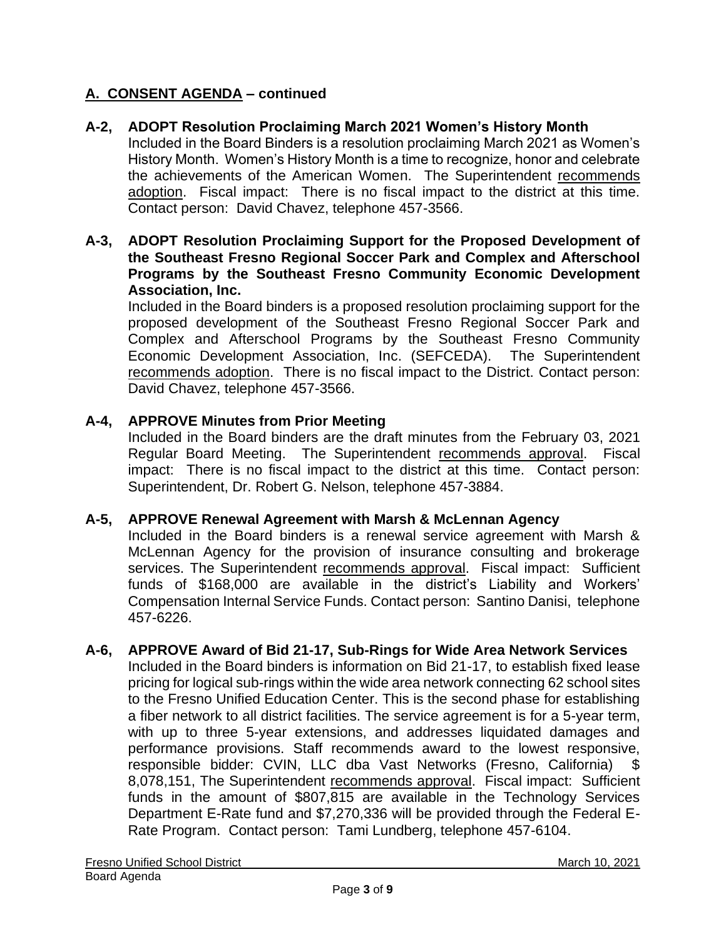## **A-2, ADOPT Resolution Proclaiming March 2021 Women's History Month**

Included in the Board Binders is a resolution proclaiming March 2021 as Women's History Month. Women's History Month is a time to recognize, honor and celebrate the achievements of the American Women. The Superintendent recommends adoption. Fiscal impact: There is no fiscal impact to the district at this time. Contact person: David Chavez, telephone 457-3566.

#### **A-3, ADOPT Resolution Proclaiming Support for the Proposed Development of the Southeast Fresno Regional Soccer Park and Complex and Afterschool Programs by the Southeast Fresno Community Economic Development Association, Inc.**

Included in the Board binders is a proposed resolution proclaiming support for the proposed development of the Southeast Fresno Regional Soccer Park and Complex and Afterschool Programs by the Southeast Fresno Community Economic Development Association, Inc. (SEFCEDA). The Superintendent recommends adoption. There is no fiscal impact to the District. Contact person: David Chavez, telephone 457-3566.

#### **A-4, APPROVE Minutes from Prior Meeting**

Included in the Board binders are the draft minutes from the February 03, 2021 Regular Board Meeting. The Superintendent recommends approval. Fiscal impact: There is no fiscal impact to the district at this time. Contact person: Superintendent, Dr. Robert G. Nelson, telephone 457-3884.

#### **A-5, APPROVE Renewal Agreement with Marsh & McLennan Agency**

Included in the Board binders is a renewal service agreement with Marsh & McLennan Agency for the provision of insurance consulting and brokerage services. The Superintendent recommends approval. Fiscal impact: Sufficient funds of \$168,000 are available in the district's Liability and Workers' Compensation Internal Service Funds. Contact person: Santino Danisi, telephone 457-6226.

#### **A-6, APPROVE Award of Bid 21-17, Sub-Rings for Wide Area Network Services**

Included in the Board binders is information on Bid 21-17, to establish fixed lease pricing for logical sub-rings within the wide area network connecting 62 school sites to the Fresno Unified Education Center. This is the second phase for establishing a fiber network to all district facilities. The service agreement is for a 5-year term, with up to three 5-year extensions, and addresses liquidated damages and performance provisions. Staff recommends award to the lowest responsive, responsible bidder: CVIN, LLC dba Vast Networks (Fresno, California) \$ 8,078,151, The Superintendent recommends approval. Fiscal impact: Sufficient funds in the amount of \$807,815 are available in the Technology Services Department E-Rate fund and \$7,270,336 will be provided through the Federal E-Rate Program. Contact person: Tami Lundberg, telephone 457-6104.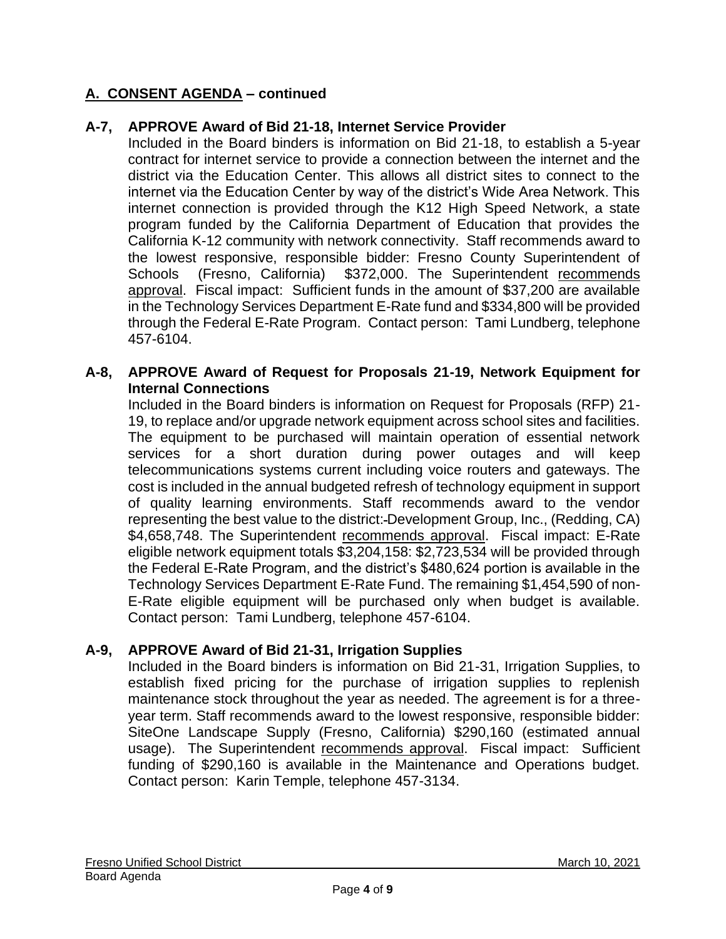### **A-7, APPROVE Award of Bid 21-18, Internet Service Provider**

Included in the Board binders is information on Bid 21-18, to establish a 5-year contract for internet service to provide a connection between the internet and the district via the Education Center. This allows all district sites to connect to the internet via the Education Center by way of the district's Wide Area Network. This internet connection is provided through the K12 High Speed Network, a state program funded by the California Department of Education that provides the California K-12 community with network connectivity. Staff recommends award to the lowest responsive, responsible bidder: Fresno County Superintendent of Schools (Fresno, California) \$372,000. The Superintendent recommends approval. Fiscal impact: Sufficient funds in the amount of \$37,200 are available in the Technology Services Department E-Rate fund and \$334,800 will be provided through the Federal E-Rate Program. Contact person: Tami Lundberg, telephone 457-6104.

#### **A-8, APPROVE Award of Request for Proposals 21-19, Network Equipment for Internal Connections**

Included in the Board binders is information on Request for Proposals (RFP) 21- 19, to replace and/or upgrade network equipment across school sites and facilities. The equipment to be purchased will maintain operation of essential network services for a short duration during power outages and will keep telecommunications systems current including voice routers and gateways. The cost is included in the annual budgeted refresh of technology equipment in support of quality learning environments. Staff recommends award to the vendor representing the best value to the district: Development Group, Inc., (Redding, CA) \$4,658,748. The Superintendent recommends approval. Fiscal impact: E-Rate eligible network equipment totals \$3,204,158: \$2,723,534 will be provided through the Federal E-Rate Program, and the district's \$480,624 portion is available in the Technology Services Department E-Rate Fund. The remaining \$1,454,590 of non-E-Rate eligible equipment will be purchased only when budget is available. Contact person: Tami Lundberg, telephone 457-6104.

### **A-9, APPROVE Award of Bid 21-31, Irrigation Supplies**

Included in the Board binders is information on Bid 21-31, Irrigation Supplies, to establish fixed pricing for the purchase of irrigation supplies to replenish maintenance stock throughout the year as needed. The agreement is for a threeyear term. Staff recommends award to the lowest responsive, responsible bidder: SiteOne Landscape Supply (Fresno, California) \$290,160 (estimated annual usage). The Superintendent recommends approval. Fiscal impact: Sufficient funding of \$290,160 is available in the Maintenance and Operations budget. Contact person: Karin Temple, telephone 457-3134.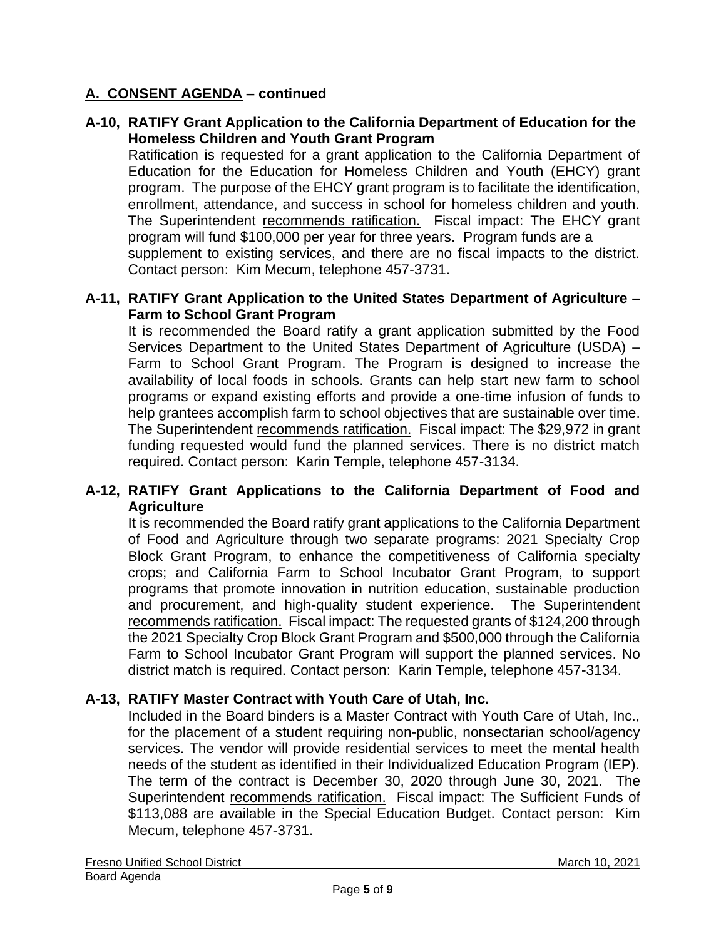## **A-10, RATIFY Grant Application to the California Department of Education for the Homeless Children and Youth Grant Program**

Ratification is requested for a grant application to the California Department of Education for the Education for Homeless Children and Youth (EHCY) grant program. The purpose of the EHCY grant program is to facilitate the identification, enrollment, attendance, and success in school for homeless children and youth. The Superintendent recommends ratification. Fiscal impact: The EHCY grant program will fund \$100,000 per year for three years. Program funds are a supplement to existing services, and there are no fiscal impacts to the district. Contact person: Kim Mecum, telephone 457-3731.

#### **A-11, RATIFY Grant Application to the United States Department of Agriculture – Farm to School Grant Program**

It is recommended the Board ratify a grant application submitted by the Food Services Department to the United States Department of Agriculture (USDA) – Farm to School Grant Program. The Program is designed to increase the availability of local foods in schools. Grants can help start new farm to school programs or expand existing efforts and provide a one-time infusion of funds to help grantees accomplish farm to school objectives that are sustainable over time. The Superintendent recommends ratification. Fiscal impact: The \$29,972 in grant funding requested would fund the planned services. There is no district match required. Contact person: Karin Temple, telephone 457-3134.

### **A-12, RATIFY Grant Applications to the California Department of Food and Agriculture**

It is recommended the Board ratify grant applications to the California Department of Food and Agriculture through two separate programs: 2021 Specialty Crop Block Grant Program, to enhance the competitiveness of California specialty crops; and California Farm to School Incubator Grant Program, to support programs that promote innovation in nutrition education, sustainable production and procurement, and high-quality student experience. The Superintendent recommends ratification. Fiscal impact: The requested grants of \$124,200 through the 2021 Specialty Crop Block Grant Program and \$500,000 through the California Farm to School Incubator Grant Program will support the planned services. No district match is required. Contact person: Karin Temple, telephone 457-3134.

### **A-13, RATIFY Master Contract with Youth Care of Utah, Inc.**

Included in the Board binders is a Master Contract with Youth Care of Utah, Inc., for the placement of a student requiring non-public, nonsectarian school/agency services. The vendor will provide residential services to meet the mental health needs of the student as identified in their Individualized Education Program (IEP). The term of the contract is December 30, 2020 through June 30, 2021. The Superintendent recommends ratification. Fiscal impact: The Sufficient Funds of \$113,088 are available in the Special Education Budget. Contact person: Kim Mecum, telephone 457-3731.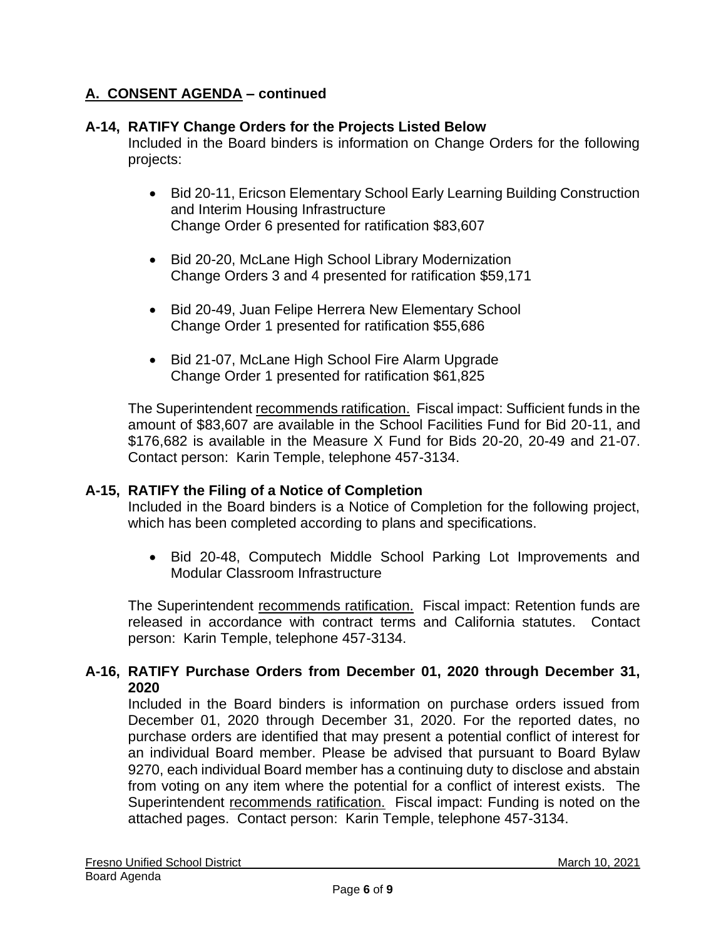### **A-14, RATIFY Change Orders for the Projects Listed Below**

Included in the Board binders is information on Change Orders for the following projects:

- Bid 20-11, Ericson Elementary School Early Learning Building Construction and Interim Housing Infrastructure Change Order 6 presented for ratification \$83,607
- Bid 20-20, McLane High School Library Modernization Change Orders 3 and 4 presented for ratification \$59,171
- Bid 20-49, Juan Felipe Herrera New Elementary School Change Order 1 presented for ratification \$55,686
- Bid 21-07, McLane High School Fire Alarm Upgrade Change Order 1 presented for ratification \$61,825

The Superintendent recommends ratification. Fiscal impact: Sufficient funds in the amount of \$83,607 are available in the School Facilities Fund for Bid 20-11, and \$176,682 is available in the Measure X Fund for Bids 20-20, 20-49 and 21-07. Contact person: Karin Temple, telephone 457-3134.

#### **A-15, RATIFY the Filing of a Notice of Completion**

Included in the Board binders is a Notice of Completion for the following project, which has been completed according to plans and specifications.

• Bid 20-48, Computech Middle School Parking Lot Improvements and Modular Classroom Infrastructure

The Superintendent recommends ratification. Fiscal impact: Retention funds are released in accordance with contract terms and California statutes. Contact person: Karin Temple, telephone 457-3134.

### **A-16, RATIFY Purchase Orders from December 01, 2020 through December 31, 2020**

Included in the Board binders is information on purchase orders issued from December 01, 2020 through December 31, 2020. For the reported dates, no purchase orders are identified that may present a potential conflict of interest for an individual Board member. Please be advised that pursuant to Board Bylaw 9270, each individual Board member has a continuing duty to disclose and abstain from voting on any item where the potential for a conflict of interest exists. The Superintendent recommends ratification. Fiscal impact: Funding is noted on the attached pages. Contact person: Karin Temple, telephone 457-3134.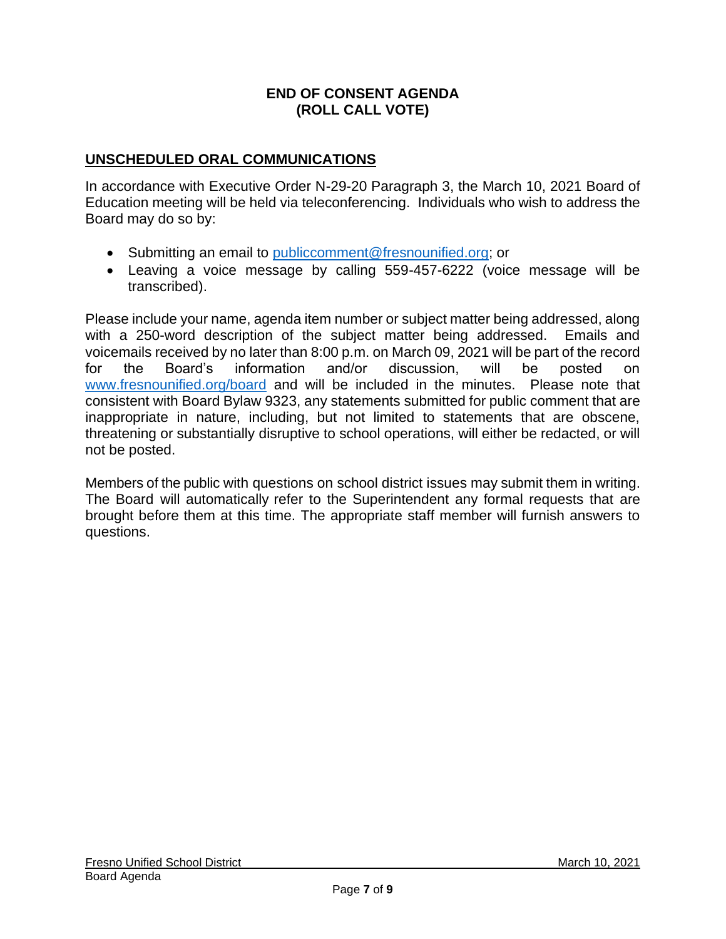#### **END OF CONSENT AGENDA (ROLL CALL VOTE)**

#### **UNSCHEDULED ORAL COMMUNICATIONS**

In accordance with Executive Order N-29-20 Paragraph 3, the March 10, 2021 Board of Education meeting will be held via teleconferencing. Individuals who wish to address the Board may do so by:

- Submitting an email to [publiccomment@fresnounified.org;](mailto:publiccomment@fresnounified.org) or
- Leaving a voice message by calling 559-457-6222 (voice message will be transcribed).

Please include your name, agenda item number or subject matter being addressed, along with a 250-word description of the subject matter being addressed. Emails and voicemails received by no later than 8:00 p.m. on March 09, 2021 will be part of the record for the Board's information and/or discussion, will be posted on [www.fresnounified.org/board](http://www.fresnounified.org/board) and will be included in the minutes. Please note that consistent with Board Bylaw 9323, any statements submitted for public comment that are inappropriate in nature, including, but not limited to statements that are obscene, threatening or substantially disruptive to school operations, will either be redacted, or will not be posted.

Members of the public with questions on school district issues may submit them in writing. The Board will automatically refer to the Superintendent any formal requests that are brought before them at this time. The appropriate staff member will furnish answers to questions.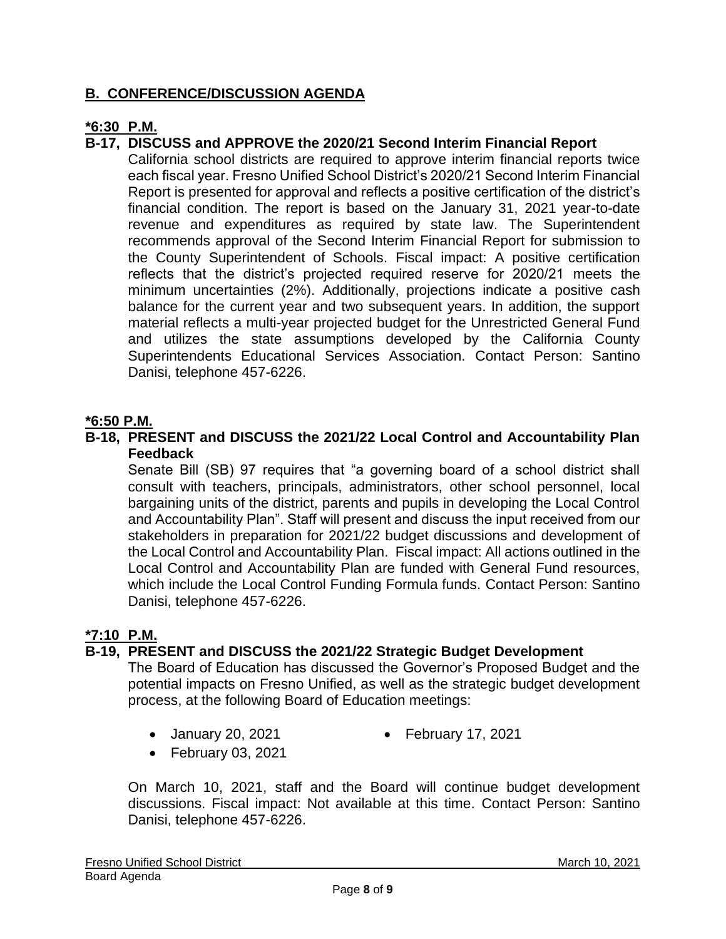## **B. CONFERENCE/DISCUSSION AGENDA**

## **\*6:30 P.M.**

## **B-17, DISCUSS and APPROVE the 2020/21 Second Interim Financial Report**

California school districts are required to approve interim financial reports twice each fiscal year. Fresno Unified School District's 2020/21 Second Interim Financial Report is presented for approval and reflects a positive certification of the district's financial condition. The report is based on the January 31, 2021 year-to-date revenue and expenditures as required by state law. The Superintendent recommends approval of the Second Interim Financial Report for submission to the County Superintendent of Schools. Fiscal impact: A positive certification reflects that the district's projected required reserve for 2020/21 meets the minimum uncertainties (2%). Additionally, projections indicate a positive cash balance for the current year and two subsequent years. In addition, the support material reflects a multi-year projected budget for the Unrestricted General Fund and utilizes the state assumptions developed by the California County Superintendents Educational Services Association. Contact Person: Santino Danisi, telephone 457-6226.

#### **\*6:50 P.M.**

**B-18, PRESENT and DISCUSS the 2021/22 Local Control and Accountability Plan Feedback**

Senate Bill (SB) 97 requires that "a governing board of a school district shall consult with teachers, principals, administrators, other school personnel, local bargaining units of the district, parents and pupils in developing the Local Control and Accountability Plan". Staff will present and discuss the input received from our stakeholders in preparation for 2021/22 budget discussions and development of the Local Control and Accountability Plan. Fiscal impact: All actions outlined in the Local Control and Accountability Plan are funded with General Fund resources, which include the Local Control Funding Formula funds. Contact Person: Santino Danisi, telephone 457-6226.

#### **\*7:10 P.M.**

### **B-19, PRESENT and DISCUSS the 2021/22 Strategic Budget Development**

The Board of Education has discussed the Governor's Proposed Budget and the potential impacts on Fresno Unified, as well as the strategic budget development process, at the following Board of Education meetings:

- January 20, 2021 February 17, 2021
	-
- February 03, 2021

On March 10, 2021, staff and the Board will continue budget development discussions. Fiscal impact: Not available at this time. Contact Person: Santino Danisi, telephone 457-6226.